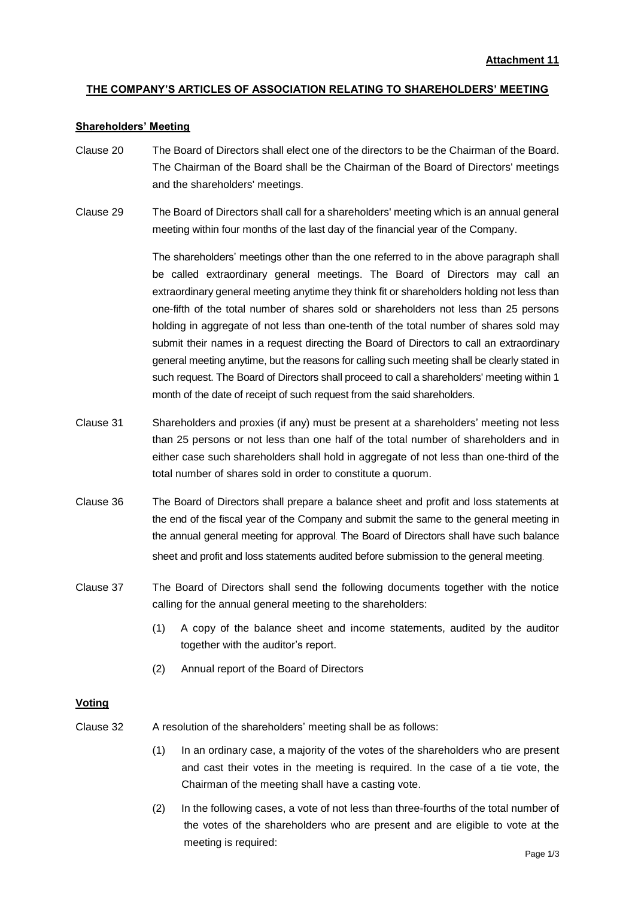# **THE COMPANY'S ARTICLES OF ASSOCIATION RELATING TO SHAREHOLDERS' MEETING**

### **Shareholders' Meeting**

- Clause 20 The Board of Directors shall elect one of the directors to be the Chairman of the Board. The Chairman of the Board shall be the Chairman of the Board of Directors' meetings and the shareholders' meetings.
- Clause 29 The Board of Directors shall call for a shareholders' meeting which is an annual general meeting within four months of the last day of the financial year of the Company.

The shareholders' meetings other than the one referred to in the above paragraph shall be called extraordinary general meetings. The Board of Directors may call an extraordinary general meeting anytime they think fit or shareholders holding not less than one-fifth of the total number of shares sold or shareholders not less than 25 persons holding in aggregate of not less than one-tenth of the total number of shares sold may submit their names in a request directing the Board of Directors to call an extraordinary general meeting anytime, but the reasons for calling such meeting shall be clearly stated in such request. The Board of Directors shall proceed to call a shareholders' meeting within 1 month of the date of receipt of such request from the said shareholders.

- Clause 31 Shareholders and proxies (if any) must be present at a shareholders' meeting not less than 25 persons or not less than one half of the total number of shareholders and in either case such shareholders shall hold in aggregate of not less than one-third of the total number of shares sold in order to constitute a quorum.
- Clause 36 The Board of Directors shall prepare a balance sheet and profit and loss statements at the end of the fiscal year of the Company and submit the same to the general meeting in the annual general meeting for approval. The Board of Directors shall have such balance sheet and profit and loss statements audited before submission to the general meeting.
- Clause 37 The Board of Directors shall send the following documents together with the notice calling for the annual general meeting to the shareholders:
	- (1) A copy of the balance sheet and income statements, audited by the auditor together with the auditor's report.
	- (2) Annual report of the Board of Directors

### **Voting**

- Clause 32 A resolution of the shareholders' meeting shall be as follows:
	- (1) In an ordinary case, a majority of the votes of the shareholders who are present and cast their votes in the meeting is required. In the case of a tie vote, the Chairman of the meeting shall have a casting vote.
	- (2) In the following cases, a vote of not less than three-fourths of the total number of the votes of the shareholders who are present and are eligible to vote at the meeting is required: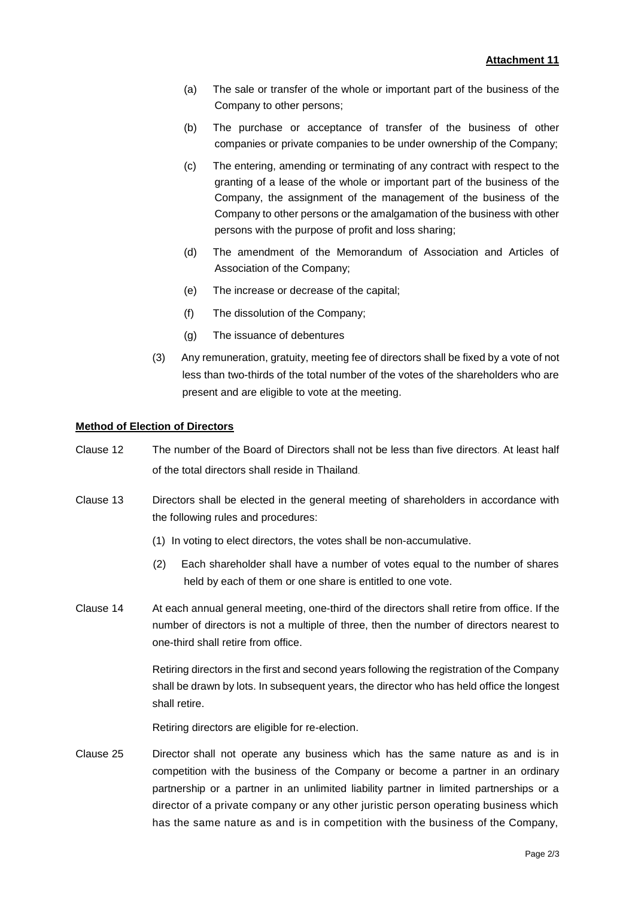- (a) The sale or transfer of the whole or important part of the business of the Company to other persons;
- (b) The purchase or acceptance of transfer of the business of other companies or private companies to be under ownership of the Company;
- (c) The entering, amending or terminating of any contract with respect to the granting of a lease of the whole or important part of the business of the Company, the assignment of the management of the business of the Company to other persons or the amalgamation of the business with other persons with the purpose of profit and loss sharing;
- (d) The amendment of the Memorandum of Association and Articles of Association of the Company;
- (e) The increase or decrease of the capital;
- (f) The dissolution of the Company;
- (g) The issuance of debentures
- (3) Any remuneration, gratuity, meeting fee of directors shall be fixed by a vote of not less than two-thirds of the total number of the votes of the shareholders who are present and are eligible to vote at the meeting.

## **Method of Election of Directors**

- Clause 12 The number of the Board of Directors shall not be less than five directors. At least half of the total directors shall reside in Thailand.
- Clause 13 Directors shall be elected in the general meeting of shareholders in accordance with the following rules and procedures:
	- (1) In voting to elect directors, the votes shall be non-accumulative.
	- (2) Each shareholder shall have a number of votes equal to the number of shares held by each of them or one share is entitled to one vote.
- Clause 14 At each annual general meeting, one-third of the directors shall retire from office. If the number of directors is not a multiple of three, then the number of directors nearest to one-third shall retire from office.

Retiring directors in the first and second years following the registration of the Company shall be drawn by lots. In subsequent years, the director who has held office the longest shall retire.

Retiring directors are eligible for re-election.

Clause 25 Director shall not operate any business which has the same nature as and is in competition with the business of the Company or become a partner in an ordinary partnership or a partner in an unlimited liability partner in limited partnerships or a director of a private company or any other juristic person operating business which has the same nature as and is in competition with the business of the Company,